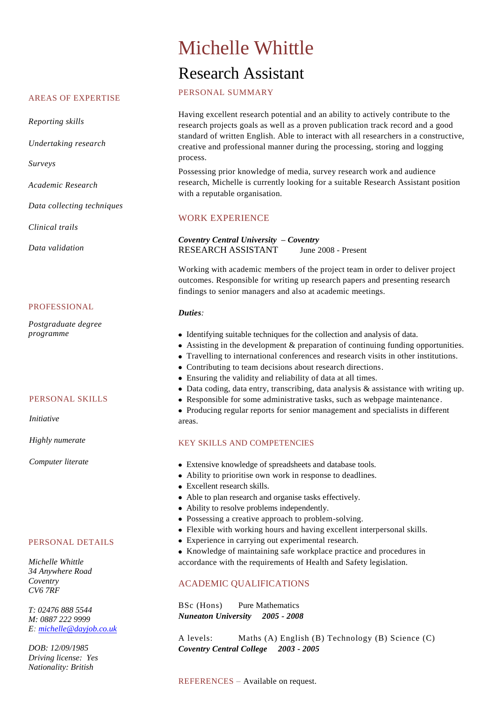### AREAS OF EXPERTISE

*Reporting skills*

*Undertaking research*

*Surveys*

*Academic Research* 

*Data collecting techniques*

*Clinical trails* 

*Data validation* 

### PROFESSIONAL

*Postgraduate degree programme*

## PERSONAL SKILLS

*Initiative* 

*Highly numerate*

*Computer literate*

## PERSONAL DETAILS

*Michelle Whittle 34 Anywhere Road Coventry CV6 7RF*

*T: 02476 888 5544 M: 0887 222 9999 E: [michelle@dayjob.co.uk](mailto:michelle@dayjob.co.uk)*

*DOB: 12/09/1985 Driving license: Yes Nationality: British*

# Michelle Whittle Research Assistant

PERSONAL SUMMARY

Having excellent research potential and an ability to actively contribute to the research projects goals as well as a proven publication track record and a good standard of written English. Able to interact with all researchers in a constructive, creative and professional manner during the processing, storing and logging process.

Possessing prior knowledge of media, survey research work and audience research, Michelle is currently looking for a suitable Research Assistant position with a reputable organisation.

## WORK EXPERIENCE

*Coventry Central University – Coventry* RESEARCH ASSISTANT June 2008 - Present

Working with academic members of the project team in order to deliver project outcomes. Responsible for writing up research papers and presenting research findings to senior managers and also at academic meetings.

### *Duties:*

- Identifying suitable techniques for the collection and analysis of data.
- Assisting in the development & preparation of continuing funding opportunities.
- Travelling to international conferences and research visits in other institutions.
- Contributing to team decisions about research directions.
- Ensuring the validity and reliability of data at all times.
- Data coding, data entry, transcribing, data analysis & assistance with writing up.
- Responsible for some administrative tasks, such as webpage maintenance.
- Producing regular reports for senior management and specialists in different areas.

# KEY SKILLS AND COMPETENCIES

- Extensive knowledge of spreadsheets and database tools.
- Ability to prioritise own work in response to deadlines.
- Excellent research skills.
- Able to plan research and organise tasks effectively.
- Ability to resolve problems independently.
- Possessing a creative approach to problem-solving.
- Flexible with working hours and having excellent interpersonal skills.
- Experience in carrying out experimental research.
- Knowledge of maintaining safe workplace practice and procedures in accordance with the requirements of Health and Safety legislation.

# ACADEMIC QUALIFICATIONS

BSc (Hons) Pure Mathematics *Nuneaton University 2005 - 2008* 

A levels: Maths (A) English (B) Technology (B) Science (C) *Coventry Central College 2003 - 2005*